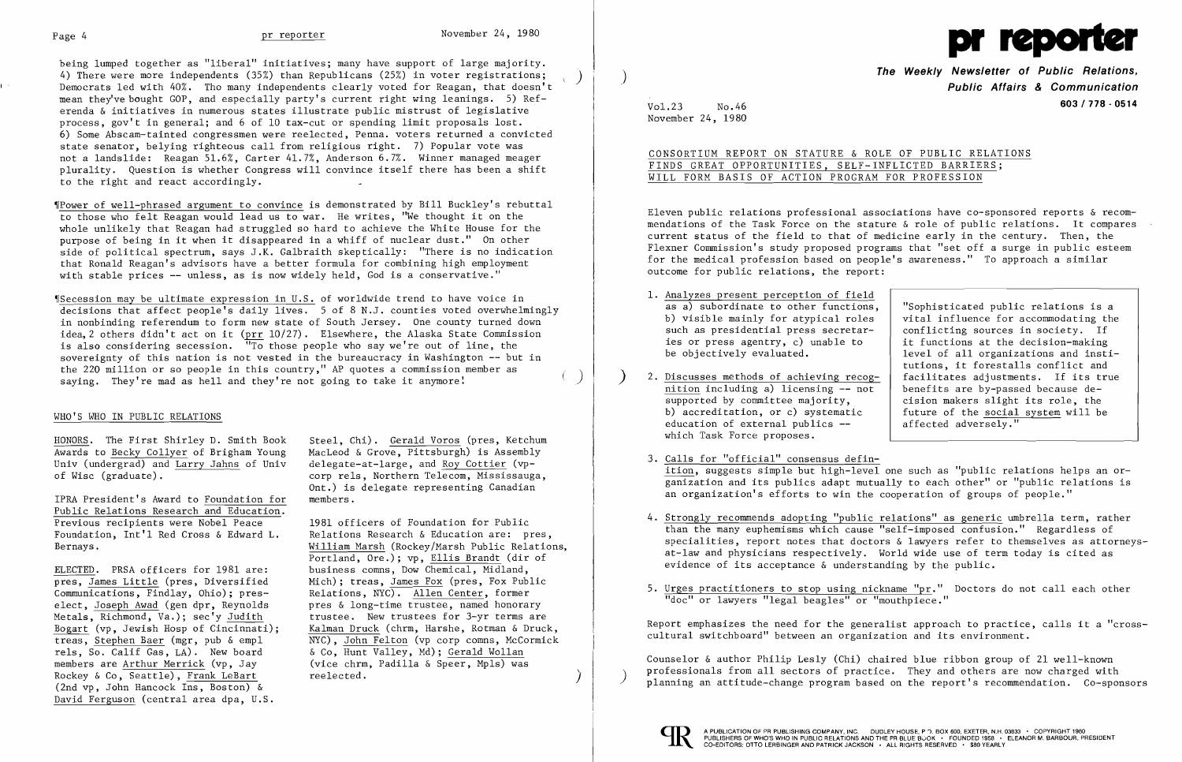

being lumped together as "liberal" initiatives; many have support of large majority.<br>4) There were more independents (35%) than Republicans (25%) in voter registrations; Democrats led with 40%. Tho many independents clearly voted for Reagan, that doesn't mean they've bought GOP, and especially party's current right wing leanings. 5) Referenda & initiatives in numerous states illustrate public mistrust of legislative process, gov't in general; and 6 of 10 tax-cut or spending limit proposals lost. 6) Some Abscam-tainted congressmen were reelected, Penna. voters returned a convicted state senator, belying righteous call from religious right. 7) Popular vote was not a landslide: Reagan 51.6%, Carter 41.7%, Anderson 6.7%. Winner managed meager plurality. Question is whether Congress will convince itself there has been a shift to the right and react accordingly.

1[Power of well-phrased argument to convince is demonstrated by Bill Buckley's rebuttal to those who felt Reagan would lead us to war. He writes, "We thought it on the whole unlikely that Reagan had struggled so hard to achieve the White House for the purpose of being in it when it disappeared in a whiff of nuclear dust." On other side of political spectrum, says J.K. Galbraith skeptically: "There is no indication that Ronald Reagan's advisors have a better formula for combining high employment with stable prices -- unless, as is now widely held, God is a conservative."

1rSecession may be ultimate expression in U.S. of worldwide trend to have voice in decisions that affect people's daily lives. 5 of 8 N.J. counties voted overwhelmingly in nonbinding referendum to form new state of South Jersey. One county turned down idea,2 others didn't act on it (prr 10/27). Elsewhere, the Alaska State Commission is also considering secession.  $\overline{''T}$  those people who say we're out of line, the sovereignty of this nation is not vested in the bureaucracy in Washington -- but in the 220 million or so people in this country," AP quotes a commission member as saying. They're mad as hell and they're not going to take it anymore!

IPRA President's Award to Foundation for Public Relations Research and Education. Previous recipients were Nobel Peace 1981 officers of Foundation for Public **of Public Relations, The Weekly Newsletter** ) **Public Affairs & Communication 603/718 - <sup>0514</sup>**

#### WHO'S WHO IN PUBLIC RELATIONS

 "Sophisticated public relations is a b) visible mainly for atypical roles  $\vert$  vital influence for accommodating the such as presidential press secretar-<br>ies or press agentry, c) unable to it functions at the decision-making ies or press agentry, c) unable to  $\begin{array}{c}$  it functions at the decision-making be objectively evaluated.  $\end{array}$  level of all organizations and institutions. level of all organizations and institutions, it forestalls conflict and<br>facilitates adjustments. If its true supported by committee majority, <br>b) accreditation, or c) systematic future of the social system will be future of the social system will be affected adversely." Ī

Awards to Becky Collyer of Brigham Young MacLeod & Grove, Pittsburgh) is Assembly Univ (undergrad) and Larry Jahns of Univ delegate-at-large, and Roy Cottier (vp-

HONORS. The First Shirley D. Smith Book Steel, Chi). Gerald Voros (pres, Ketchum of Wisc (graduate). corp rels, Northern Telecom, Mississauga, Ont.) is delegate representing Canadian

Foundation, Int'l Red Cross & Edward L. Relations Research & Education are: pres,<br>Bernays. William Marsh (Rockey/Marsh Public Relation William Marsh (Rockey/Marsh Public Relations, Portland, Ore.); vp, Ellis Brandt (dir of pres, James Little (pres, Diversified Mich); treas, James Fox (pres, Fox Public Communications, Findlay, Ohio); pres-<br>Relations, NYC). Allen Center, former Relations, NYC). Allen Center, former elect, Joseph Awad (gen dpr, Reynolds pres & long-time trustee, named honorary Metals, Richmond, Va.); sec'y Judith trustee. New trustees for 3-yr terms are Bogart (vp, Jewish Hosp of Cincinnati); Kalman Druck (chrm, Harshe, Rotman & Druck, treas, Stephen Baer (mgr, pub & empl NYC), John Felton (vp corp comns, McCormick (vice chrm, Padilla & Speer, Mpls) was

4. Strongly recommends adopting "public relations" as generic umbrella term, rather than the many euphemisms which cause "self-imposed confusion." Regardless of specialities, report notes that doctors & lawyers refer to themselves as attorneysat-law and physicians respectively. World wide use of term today is cited as

5. Urges practitioners to stop using nickname "pr." Doctors do not call each other

Counselor & author Philip Lesly (Chi) chaired blue ribbon group of 21 well-known professionals from all sectors of practice. They and others are now charged with planning an attitude-change program based on the report's recommendation. Co-sponsors



ELECTED. PRSA officers for 1981 are: business comns, Dow Chemical, Midland, rels, So. Calif Gas, LA). New board <br>members are Arthur Merrick (vp. Jay (vice chrm. Padilla & Speer, Mpls) was Rockey & Co, Seattle), Frank LeBart reelected.<br>(2nd vp, John Hancock Ins, Boston) & David Ferguson (central area dpa, U.S.

Vol.23 No.46 November 24, 1980

CONSORTIUM REPORT ON STATURE & ROLE OF PUBLIC RELATIONS FINDS GREAT OPPORTUNITIES, SELF-INFLICTED BARRIERS; WILL FORM BASIS OF ACTION PROGRAM FOR PROFESSION

Eleven public relations professional associations have co-sponsored reports & recommendations of the Task Force on the stature & role of public relations. It compares current status of the field to that of medicine early in the century. Then, the Flexner Commission's study proposed programs that "set off a surge in public esteem for the medical profession based on people's awareness." To approach a similar outcome for public relations, the report:

- 1. Analyzes present perception of field as a) subordinate to other functions,
- 2. Discusses methods of achieving recog-<br>nition including a) licensing -- not<br>henefits are by-passed because de $n$ ition including a) licensing  $-$  not supported by committee majority, education of external publics  $$ which Task Force proposes.
	- 3. Calls for "official" consensus definan organization's efforts to win the cooperation of groups of people."
- evidence of its acceptance & understanding by the public.
- "doc" or lawyers "legal beagles" or "mouthpiece."

ition, suggests simple but high-level one such as "public relations helps an organization and its publics adapt mutually to each other" or "public relations is

Report emphasizes the need for the generalist approach to practice, calls it a "crosscultural switchboard" between an organization and its environment.